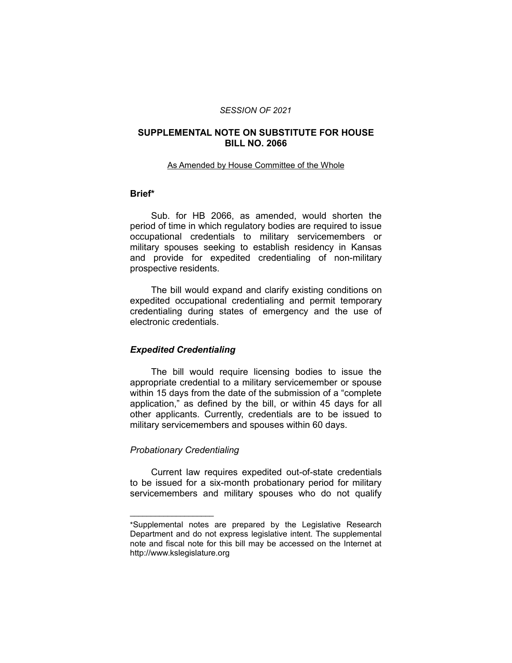#### *SESSION OF 2021*

### **SUPPLEMENTAL NOTE ON SUBSTITUTE FOR HOUSE BILL NO. 2066**

#### As Amended by House Committee of the Whole

## **Brief\***

Sub. for HB 2066, as amended, would shorten the period of time in which regulatory bodies are required to issue occupational credentials to military servicemembers or military spouses seeking to establish residency in Kansas and provide for expedited credentialing of non-military prospective residents.

The bill would expand and clarify existing conditions on expedited occupational credentialing and permit temporary credentialing during states of emergency and the use of electronic credentials.

### *Expedited Credentialing*

The bill would require licensing bodies to issue the appropriate credential to a military servicemember or spouse within 15 days from the date of the submission of a "complete application," as defined by the bill, or within 45 days for all other applicants. Currently, credentials are to be issued to military servicemembers and spouses within 60 days.

#### *Probationary Credentialing*

 $\overline{\phantom{a}}$  , where  $\overline{\phantom{a}}$  , where  $\overline{\phantom{a}}$ 

Current law requires expedited out-of-state credentials to be issued for a six-month probationary period for military servicemembers and military spouses who do not qualify

<sup>\*</sup>Supplemental notes are prepared by the Legislative Research Department and do not express legislative intent. The supplemental note and fiscal note for this bill may be accessed on the Internet at http://www.kslegislature.org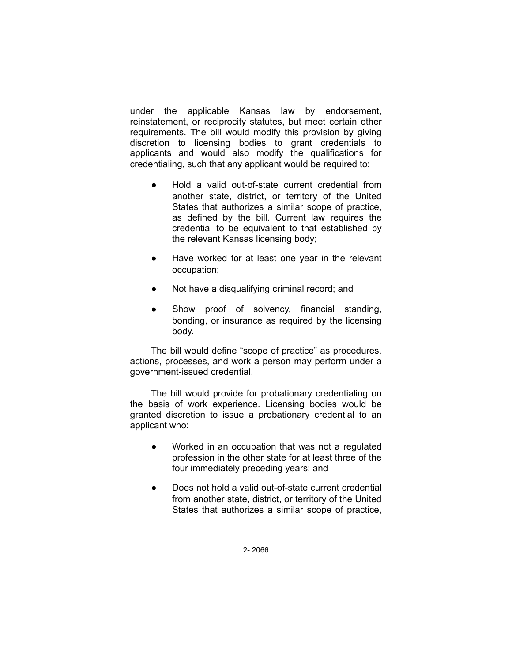under the applicable Kansas law by endorsement, reinstatement, or reciprocity statutes, but meet certain other requirements. The bill would modify this provision by giving discretion to licensing bodies to grant credentials to applicants and would also modify the qualifications for credentialing, such that any applicant would be required to:

- Hold a valid out-of-state current credential from another state, district, or territory of the United States that authorizes a similar scope of practice, as defined by the bill. Current law requires the credential to be equivalent to that established by the relevant Kansas licensing body;
- Have worked for at least one year in the relevant occupation;
- Not have a disqualifying criminal record; and
- Show proof of solvency, financial standing, bonding, or insurance as required by the licensing body.

The bill would define "scope of practice" as procedures, actions, processes, and work a person may perform under a government-issued credential.

The bill would provide for probationary credentialing on the basis of work experience. Licensing bodies would be granted discretion to issue a probationary credential to an applicant who:

- Worked in an occupation that was not a regulated profession in the other state for at least three of the four immediately preceding years; and
- Does not hold a valid out-of-state current credential from another state, district, or territory of the United States that authorizes a similar scope of practice,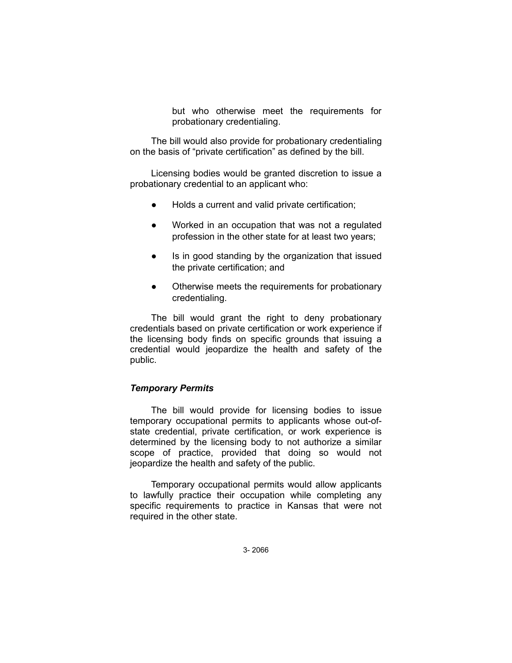but who otherwise meet the requirements for probationary credentialing.

The bill would also provide for probationary credentialing on the basis of "private certification" as defined by the bill.

Licensing bodies would be granted discretion to issue a probationary credential to an applicant who:

- Holds a current and valid private certification;
- Worked in an occupation that was not a regulated profession in the other state for at least two years;
- Is in good standing by the organization that issued the private certification; and
- Otherwise meets the requirements for probationary credentialing.

The bill would grant the right to deny probationary credentials based on private certification or work experience if the licensing body finds on specific grounds that issuing a credential would jeopardize the health and safety of the public.

### *Temporary Permits*

The bill would provide for licensing bodies to issue temporary occupational permits to applicants whose out-ofstate credential, private certification, or work experience is determined by the licensing body to not authorize a similar scope of practice, provided that doing so would not jeopardize the health and safety of the public.

Temporary occupational permits would allow applicants to lawfully practice their occupation while completing any specific requirements to practice in Kansas that were not required in the other state.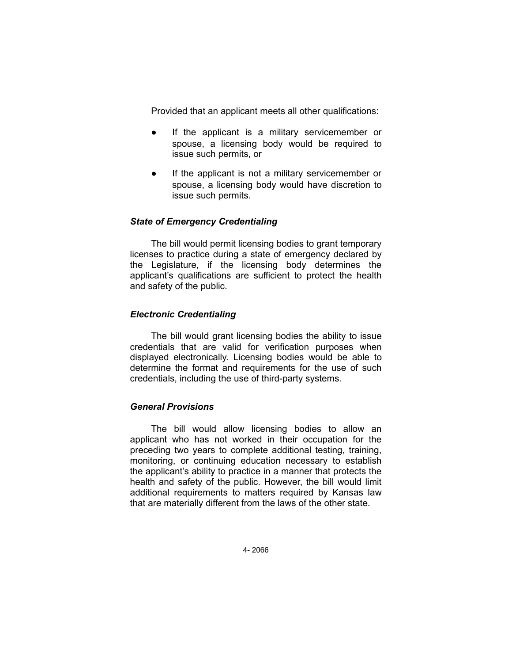Provided that an applicant meets all other qualifications:

- If the applicant is a military servicemember or spouse, a licensing body would be required to issue such permits, or
- If the applicant is not a military servicemember or spouse, a licensing body would have discretion to issue such permits.

## *State of Emergency Credentialing*

The bill would permit licensing bodies to grant temporary licenses to practice during a state of emergency declared by the Legislature, if the licensing body determines the applicant's qualifications are sufficient to protect the health and safety of the public.

### *Electronic Credentialing*

The bill would grant licensing bodies the ability to issue credentials that are valid for verification purposes when displayed electronically. Licensing bodies would be able to determine the format and requirements for the use of such credentials, including the use of third-party systems.

#### *General Provisions*

The bill would allow licensing bodies to allow an applicant who has not worked in their occupation for the preceding two years to complete additional testing, training, monitoring, or continuing education necessary to establish the applicant's ability to practice in a manner that protects the health and safety of the public. However, the bill would limit additional requirements to matters required by Kansas law that are materially different from the laws of the other state.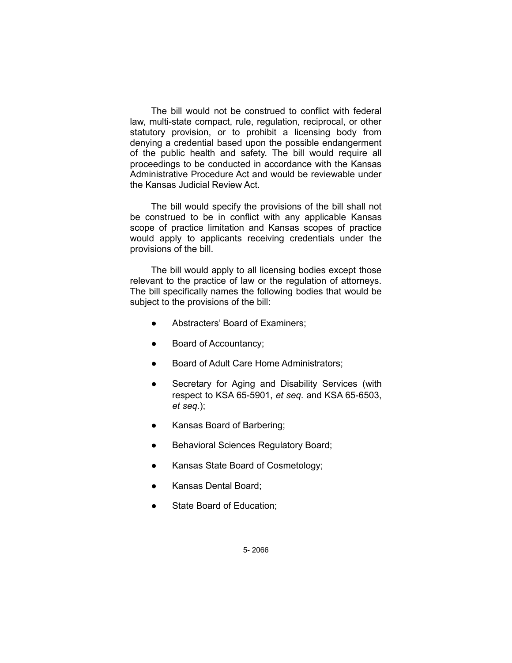The bill would not be construed to conflict with federal law, multi-state compact, rule, regulation, reciprocal, or other statutory provision, or to prohibit a licensing body from denying a credential based upon the possible endangerment of the public health and safety. The bill would require all proceedings to be conducted in accordance with the Kansas Administrative Procedure Act and would be reviewable under the Kansas Judicial Review Act.

The bill would specify the provisions of the bill shall not be construed to be in conflict with any applicable Kansas scope of practice limitation and Kansas scopes of practice would apply to applicants receiving credentials under the provisions of the bill.

The bill would apply to all licensing bodies except those relevant to the practice of law or the regulation of attorneys. The bill specifically names the following bodies that would be subject to the provisions of the bill:

- Abstracters' Board of Examiners;
- Board of Accountancy;
- Board of Adult Care Home Administrators;
- Secretary for Aging and Disability Services (with respect to KSA 65-5901, *et seq.* and KSA 65-6503, *et seq.*);
- Kansas Board of Barbering;
- Behavioral Sciences Regulatory Board;
- Kansas State Board of Cosmetology;
- Kansas Dental Board;
- State Board of Education;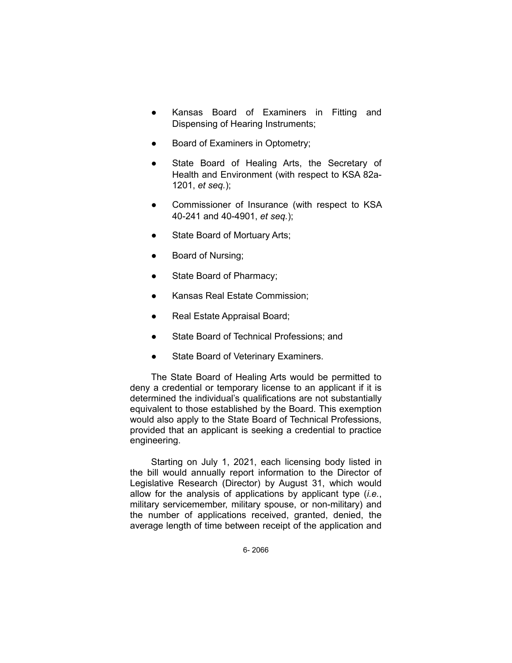- Kansas Board of Examiners in Fitting and Dispensing of Hearing Instruments;
- Board of Examiners in Optometry;
- State Board of Healing Arts, the Secretary of Health and Environment (with respect to KSA 82a-1201, *et seq.*);
- Commissioner of Insurance (with respect to KSA 40-241 and 40-4901, *et seq.*);
- State Board of Mortuary Arts;
- Board of Nursing;
- State Board of Pharmacy;
- Kansas Real Estate Commission;
- Real Estate Appraisal Board;
- State Board of Technical Professions; and
- State Board of Veterinary Examiners.

The State Board of Healing Arts would be permitted to deny a credential or temporary license to an applicant if it is determined the individual's qualifications are not substantially equivalent to those established by the Board. This exemption would also apply to the State Board of Technical Professions, provided that an applicant is seeking a credential to practice engineering.

Starting on July 1, 2021, each licensing body listed in the bill would annually report information to the Director of Legislative Research (Director) by August 31, which would allow for the analysis of applications by applicant type (*i.e.*, military servicemember, military spouse, or non-military) and the number of applications received, granted, denied, the average length of time between receipt of the application and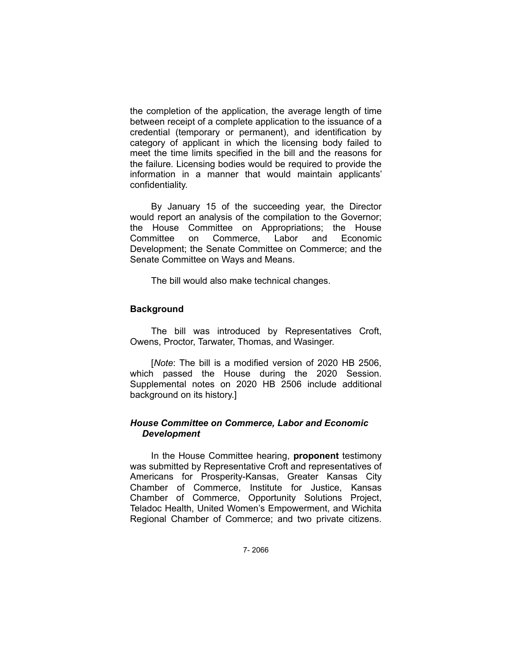the completion of the application, the average length of time between receipt of a complete application to the issuance of a credential (temporary or permanent), and identification by category of applicant in which the licensing body failed to meet the time limits specified in the bill and the reasons for the failure. Licensing bodies would be required to provide the information in a manner that would maintain applicants' confidentiality.

By January 15 of the succeeding year, the Director would report an analysis of the compilation to the Governor; the House Committee on Appropriations; the House Committee on Commerce, Labor and Economic Development; the Senate Committee on Commerce; and the Senate Committee on Ways and Means.

The bill would also make technical changes.

## **Background**

The bill was introduced by Representatives Croft, Owens, Proctor, Tarwater, Thomas, and Wasinger.

[*Note*: The bill is a modified version of 2020 HB 2506, which passed the House during the 2020 Session. Supplemental notes on 2020 HB 2506 include additional background on its history.]

## *House Committee on Commerce, Labor and Economic Development*

In the House Committee hearing, **proponent** testimony was submitted by Representative Croft and representatives of Americans for Prosperity-Kansas, Greater Kansas City Chamber of Commerce, Institute for Justice, Kansas Chamber of Commerce, Opportunity Solutions Project, Teladoc Health, United Women's Empowerment, and Wichita Regional Chamber of Commerce; and two private citizens.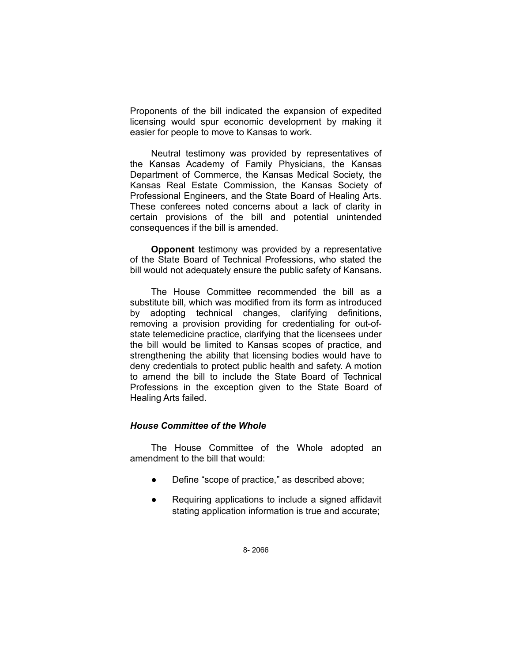Proponents of the bill indicated the expansion of expedited licensing would spur economic development by making it easier for people to move to Kansas to work.

Neutral testimony was provided by representatives of the Kansas Academy of Family Physicians, the Kansas Department of Commerce, the Kansas Medical Society, the Kansas Real Estate Commission, the Kansas Society of Professional Engineers, and the State Board of Healing Arts. These conferees noted concerns about a lack of clarity in certain provisions of the bill and potential unintended consequences if the bill is amended.

**Opponent** testimony was provided by a representative of the State Board of Technical Professions, who stated the bill would not adequately ensure the public safety of Kansans.

The House Committee recommended the bill as a substitute bill, which was modified from its form as introduced by adopting technical changes, clarifying definitions, removing a provision providing for credentialing for out-ofstate telemedicine practice, clarifying that the licensees under the bill would be limited to Kansas scopes of practice, and strengthening the ability that licensing bodies would have to deny credentials to protect public health and safety. A motion to amend the bill to include the State Board of Technical Professions in the exception given to the State Board of Healing Arts failed.

## *House Committee of the Whole*

The House Committee of the Whole adopted an amendment to the bill that would:

- Define "scope of practice," as described above;
- Requiring applications to include a signed affidavit stating application information is true and accurate;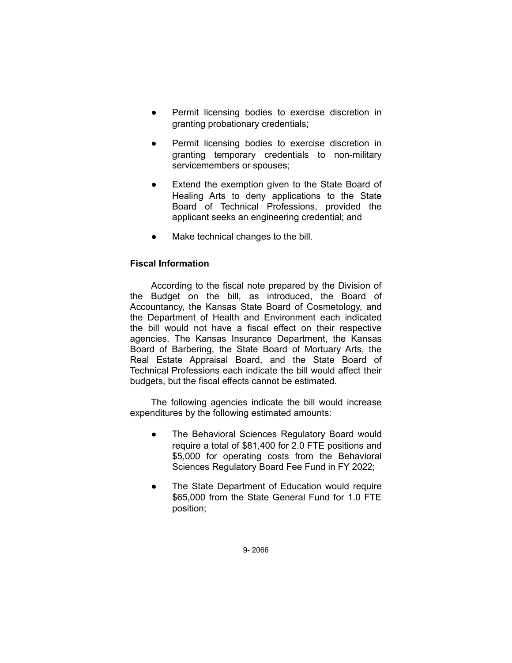- Permit licensing bodies to exercise discretion in granting probationary credentials;
- Permit licensing bodies to exercise discretion in granting temporary credentials to non-military servicemembers or spouses;
- Extend the exemption given to the State Board of Healing Arts to deny applications to the State Board of Technical Professions, provided the applicant seeks an engineering credential; and
- Make technical changes to the bill.

# **Fiscal Information**

According to the fiscal note prepared by the Division of the Budget on the bill, as introduced, the Board of Accountancy, the Kansas State Board of Cosmetology, and the Department of Health and Environment each indicated the bill would not have a fiscal effect on their respective agencies. The Kansas Insurance Department, the Kansas Board of Barbering, the State Board of Mortuary Arts, the Real Estate Appraisal Board, and the State Board of Technical Professions each indicate the bill would affect their budgets, but the fiscal effects cannot be estimated.

The following agencies indicate the bill would increase expenditures by the following estimated amounts:

- The Behavioral Sciences Regulatory Board would require a total of \$81,400 for 2.0 FTE positions and \$5,000 for operating costs from the Behavioral Sciences Regulatory Board Fee Fund in FY 2022;
- The State Department of Education would require \$65,000 from the State General Fund for 1.0 FTE position;